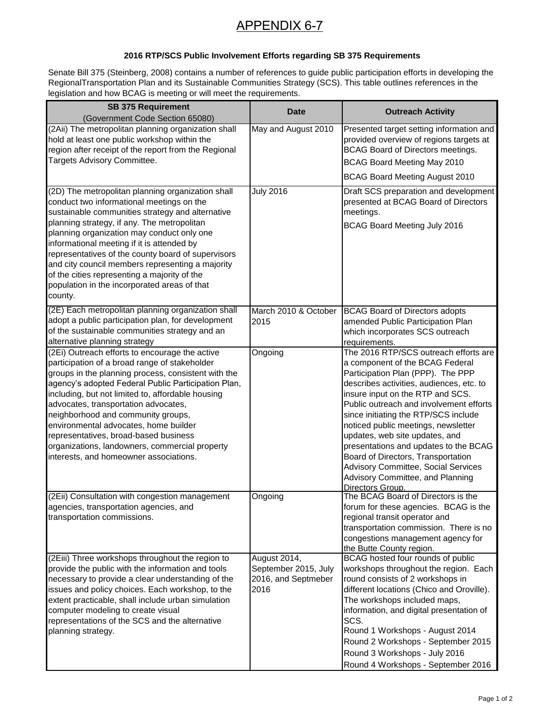## APPENDIX 6-7

## **2016 RTP/SCS Public Involvement Efforts regarding SB 375 Requirements**

Senate Bill 375 (Steinberg, 2008) contains a number of references to guide public participation efforts in developing the RegionalTransportation Plan and its Sustainable Communities Strategy (SCS). This table outlines references in the legislation and how BCAG is meeting or will meet the requirements.

| <b>SB 375 Requirement</b>                                                                                                                                                                                                                                                                                                                                                                                                                                                                                                      |                                                                     |                                                                                                                                                                                                                                                                                                                                                                                                                                                                                                                                         |
|--------------------------------------------------------------------------------------------------------------------------------------------------------------------------------------------------------------------------------------------------------------------------------------------------------------------------------------------------------------------------------------------------------------------------------------------------------------------------------------------------------------------------------|---------------------------------------------------------------------|-----------------------------------------------------------------------------------------------------------------------------------------------------------------------------------------------------------------------------------------------------------------------------------------------------------------------------------------------------------------------------------------------------------------------------------------------------------------------------------------------------------------------------------------|
| (Government Code Section 65080)                                                                                                                                                                                                                                                                                                                                                                                                                                                                                                | <b>Date</b>                                                         | <b>Outreach Activity</b>                                                                                                                                                                                                                                                                                                                                                                                                                                                                                                                |
| (2Aii) The metropolitan planning organization shall<br>hold at least one public workshop within the<br>region after receipt of the report from the Regional<br>Targets Advisory Committee.                                                                                                                                                                                                                                                                                                                                     | May and August 2010                                                 | Presented target setting information and<br>provided overview of regions targets at<br><b>BCAG Board of Directors meetings.</b><br>BCAG Board Meeting May 2010<br><b>BCAG Board Meeting August 2010</b>                                                                                                                                                                                                                                                                                                                                 |
| (2D) The metropolitan planning organization shall<br>conduct two informational meetings on the<br>sustainable communities strategy and alternative<br>planning strategy, if any. The metropolitan<br>planning organization may conduct only one<br>informational meeting if it is attended by<br>representatives of the county board of supervisors<br>and city council members representing a majority<br>of the cities representing a majority of the<br>population in the incorporated areas of that<br>county.             | <b>July 2016</b>                                                    | Draft SCS preparation and development<br>presented at BCAG Board of Directors<br>meetings.<br><b>BCAG Board Meeting July 2016</b>                                                                                                                                                                                                                                                                                                                                                                                                       |
| (2E) Each metropolitan planning organization shall<br>adopt a public participation plan, for development<br>of the sustainable communities strategy and an<br>alternative planning strategy                                                                                                                                                                                                                                                                                                                                    | March 2010 & October<br>2015                                        | <b>BCAG Board of Directors adopts</b><br>amended Public Participation Plan<br>which incorporates SCS outreach<br>requirements.                                                                                                                                                                                                                                                                                                                                                                                                          |
| (2Ei) Outreach efforts to encourage the active<br>participation of a broad range of stakeholder<br>groups in the planning process, consistent with the<br>agency's adopted Federal Public Participation Plan,<br>including, but not limited to, affordable housing<br>advocates, transportation advocates,<br>neighborhood and community groups,<br>environmental advocates, home builder<br>representatives, broad-based business<br>organizations, landowners, commercial property<br>interests, and homeowner associations. | Ongoing                                                             | The 2016 RTP/SCS outreach efforts are<br>a component of the BCAG Federal<br>Participation Plan (PPP). The PPP<br>describes activities, audiences, etc. to<br>insure input on the RTP and SCS.<br>Public outreach and involvement efforts<br>since initiating the RTP/SCS include<br>noticed public meetings, newsletter<br>updates, web site updates, and<br>presentations and updates to the BCAG<br>Board of Directors, Transportation<br>Advisory Committee, Social Services<br>Advisory Committee, and Planning<br>Directors Group. |
| (2Eii) Consultation with congestion management<br>agencies, transportation agencies, and<br>transportation commissions.                                                                                                                                                                                                                                                                                                                                                                                                        | Ongoing                                                             | The BCAG Board of Directors is the<br>forum for these agencies. BCAG is the<br>regional transit operator and<br>transportation commission. There is no<br>congestions management agency for<br>the Butte County region.                                                                                                                                                                                                                                                                                                                 |
| (2Eiii) Three workshops throughout the region to<br>provide the public with the information and tools<br>necessary to provide a clear understanding of the<br>issues and policy choices. Each workshop, to the<br>extent practicable, shall include urban simulation<br>computer modeling to create visual<br>representations of the SCS and the alternative<br>planning strategy.                                                                                                                                             | August 2014,<br>September 2015, July<br>2016, and Septmeber<br>2016 | BCAG hosted four rounds of public<br>workshops throughout the region. Each<br>round consists of 2 workshops in<br>different locations (Chico and Oroville).<br>The workshops included maps,<br>information, and digital presentation of<br>SCS.<br>Round 1 Workshops - August 2014<br>Round 2 Workshops - September 2015<br>Round 3 Workshops - July 2016<br>Round 4 Workshops - September 2016                                                                                                                                         |